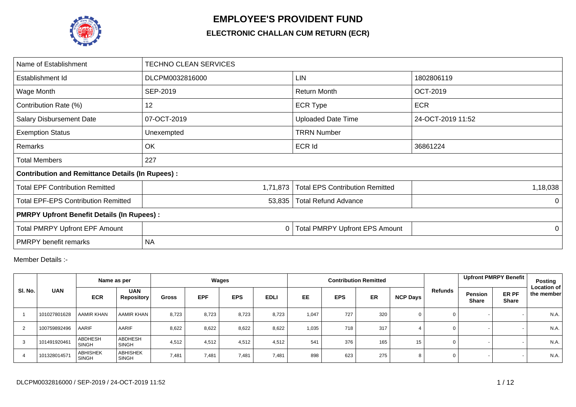

## **EMPLOYEE'S PROVIDENT FUND**

## **ELECTRONIC CHALLAN CUM RETURN (ECR)**

| Name of Establishment                                   | <b>TECHNO CLEAN SERVICES</b> |                                        |                   |
|---------------------------------------------------------|------------------------------|----------------------------------------|-------------------|
| Establishment Id                                        | DLCPM0032816000              | <b>LIN</b>                             | 1802806119        |
| Wage Month                                              | SEP-2019                     | <b>Return Month</b>                    | <b>OCT-2019</b>   |
| Contribution Rate (%)                                   | 12                           | <b>ECR Type</b>                        | <b>ECR</b>        |
| <b>Salary Disbursement Date</b>                         | 07-OCT-2019                  | <b>Uploaded Date Time</b>              | 24-OCT-2019 11:52 |
| <b>Exemption Status</b>                                 | Unexempted                   | <b>TRRN Number</b>                     |                   |
| Remarks                                                 | OK                           | <b>ECR Id</b>                          | 36861224          |
| <b>Total Members</b>                                    | 227                          |                                        |                   |
| <b>Contribution and Remittance Details (In Rupees):</b> |                              |                                        |                   |
| <b>Total EPF Contribution Remitted</b>                  | 1,71,873                     | <b>Total EPS Contribution Remitted</b> | 1,18,038          |
| <b>Total EPF-EPS Contribution Remitted</b>              | 53,835                       | <b>Total Refund Advance</b>            | $\Omega$          |
| <b>PMRPY Upfront Benefit Details (In Rupees):</b>       |                              |                                        |                   |
| <b>Total PMRPY Upfront EPF Amount</b>                   | 0                            | <b>Total PMRPY Upfront EPS Amount</b>  | 0                 |
| <b>PMRPY</b> benefit remarks                            | <b>NA</b>                    |                                        |                   |

Member Details :-

|         |              |                                 | Name as per                     |              |            | Wages      |             |       |            | <b>Contribution Remitted</b> |                 |         |                                | <b>Upfront PMRPY Benefit</b> | <b>Posting</b>                   |
|---------|--------------|---------------------------------|---------------------------------|--------------|------------|------------|-------------|-------|------------|------------------------------|-----------------|---------|--------------------------------|------------------------------|----------------------------------|
| SI. No. | <b>UAN</b>   | <b>ECR</b>                      | <b>UAN</b><br>Repository        | <b>Gross</b> | <b>EPF</b> | <b>EPS</b> | <b>EDLI</b> | EE    | <b>EPS</b> | ER                           | <b>NCP Days</b> | Refunds | <b>Pension</b><br><b>Share</b> | ER PF<br><b>Share</b>        | <b>Location of</b><br>the member |
|         | 101027801628 | <b>AAMIR KHAN</b>               | <b>AAMIR KHAN</b>               | 8,723        | 8,723      | 8,723      | 8,723       | 1,047 | 727        | 320                          |                 |         |                                | $\overline{\phantom{a}}$     | N.A.                             |
| 2       | 100759892496 | AARIF                           | AARIF                           | 8,622        | 8,622      | 8,622      | 8,622       | 1,035 | 718        | 317                          |                 | 0       |                                | $\overline{\phantom{a}}$     | N.A.                             |
| 3       | 101491920461 | ABDHESH<br><b>SINGH</b>         | ABDHESH<br><b>SINGH</b>         | 4,512        | 4,512      | 4,512      | 4,512       | 541   | 376        | 165                          | 15              | 0       |                                | $\overline{\phantom{0}}$     | N.A.                             |
| 4       | 101328014571 | <b>ABHISHEK</b><br><b>SINGH</b> | <b>ABHISHEK</b><br><b>SINGH</b> | 7,481        | 7.481      | 7.481      | 7,481       | 898   | 623        | 275                          | 8               | 0       |                                | $\sim$                       | N.A.                             |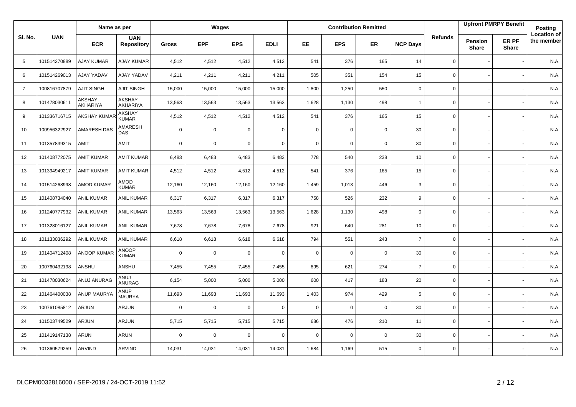|                |              | Name as per        |                                 |              |             | Wages       |             |             |             | <b>Contribution Remitted</b> |                 |                |                  | <b>Upfront PMRPY Benefit</b> | <b>Posting</b>                   |
|----------------|--------------|--------------------|---------------------------------|--------------|-------------|-------------|-------------|-------------|-------------|------------------------------|-----------------|----------------|------------------|------------------------------|----------------------------------|
| SI. No.        | <b>UAN</b>   | <b>ECR</b>         | <b>UAN</b><br><b>Repository</b> | <b>Gross</b> | <b>EPF</b>  | <b>EPS</b>  | <b>EDLI</b> | <b>EE</b>   | <b>EPS</b>  | ER.                          | <b>NCP Days</b> | <b>Refunds</b> | Pension<br>Share | ER PF<br><b>Share</b>        | <b>Location of</b><br>the member |
| 5              | 101514270889 | <b>AJAY KUMAR</b>  | <b>AJAY KUMAR</b>               | 4,512        | 4,512       | 4,512       | 4,512       | 541         | 376         | 165                          | 14              | $\mathbf 0$    |                  |                              | N.A.                             |
| 6              | 101514269013 | AJAY YADAV         | <b>AJAY YADAV</b>               | 4,211        | 4,211       | 4,211       | 4,211       | 505         | 351         | 154                          | 15              | $\mathbf 0$    |                  |                              | N.A.                             |
| $\overline{7}$ | 100816707879 | <b>AJIT SINGH</b>  | <b>AJIT SINGH</b>               | 15,000       | 15,000      | 15,000      | 15,000      | 1,800       | 1,250       | 550                          | $\mathbf 0$     | $\mathbf 0$    |                  |                              | N.A.                             |
| 8              | 101478030611 | AKSHAY<br>AKHARIYA | <b>AKSHAY</b><br>AKHARIYA       | 13,563       | 13,563      | 13,563      | 13,563      | 1,628       | 1,130       | 498                          | $\mathbf{1}$    | $\mathbf 0$    |                  |                              | N.A.                             |
| 9              | 101336716715 | <b>AKSHAY KUMA</b> | AKSHAY<br><b>KUMAR</b>          | 4,512        | 4,512       | 4,512       | 4,512       | 541         | 376         | 165                          | 15              | $\mathbf 0$    |                  |                              | N.A.                             |
| 10             | 100956322927 | <b>AMARESH DAS</b> | AMARESH<br><b>DAS</b>           | $\mathbf 0$  | $\mathbf 0$ | $\mathbf 0$ | $\mathbf 0$ | $\mathbf 0$ | 0           | $\mathbf 0$                  | 30              | $\mathsf 0$    |                  |                              | N.A.                             |
| 11             | 101357839315 | AMIT               | AMIT                            | $\mathbf 0$  | $\mathbf 0$ | $\mathbf 0$ | $\mathbf 0$ | $\mathbf 0$ | $\mathbf 0$ | $\mathbf 0$                  | 30              | $\mathbf 0$    |                  |                              | N.A.                             |
| 12             | 101408772075 | <b>AMIT KUMAR</b>  | <b>AMIT KUMAR</b>               | 6,483        | 6,483       | 6,483       | 6,483       | 778         | 540         | 238                          | 10              | $\mathbf 0$    |                  |                              | N.A.                             |
| 13             | 101394949217 | <b>AMIT KUMAR</b>  | <b>AMIT KUMAR</b>               | 4,512        | 4,512       | 4,512       | 4,512       | 541         | 376         | 165                          | 15              | 0              |                  |                              | N.A.                             |
| 14             | 101514268998 | <b>AMOD KUMAR</b>  | AMOD<br><b>KUMAR</b>            | 12,160       | 12,160      | 12,160      | 12,160      | 1,459       | 1,013       | 446                          | 3               | $\mathbf 0$    |                  |                              | N.A.                             |
| 15             | 101408734040 | <b>ANIL KUMAR</b>  | <b>ANIL KUMAR</b>               | 6,317        | 6,317       | 6,317       | 6,317       | 758         | 526         | 232                          | 9               | $\mathbf 0$    |                  |                              | N.A.                             |
| 16             | 101240777932 | <b>ANIL KUMAR</b>  | <b>ANIL KUMAR</b>               | 13,563       | 13,563      | 13,563      | 13,563      | 1,628       | 1,130       | 498                          | $\mathbf 0$     | 0              |                  |                              | N.A.                             |
| 17             | 101328016127 | ANIL KUMAR         | <b>ANIL KUMAR</b>               | 7,678        | 7,678       | 7,678       | 7,678       | 921         | 640         | 281                          | 10              | $\mathbf 0$    |                  |                              | N.A.                             |
| 18             | 101133036292 | <b>ANIL KUMAR</b>  | <b>ANIL KUMAR</b>               | 6,618        | 6,618       | 6,618       | 6,618       | 794         | 551         | 243                          | $\overline{7}$  | $\mathbf 0$    |                  |                              | N.A.                             |
| 19             | 101404712408 | <b>ANOOP KUMAR</b> | <b>ANOOP</b><br><b>KUMAR</b>    | $\mathbf 0$  | $\mathbf 0$ | $\mathbf 0$ | $\mathbf 0$ | $\mathbf 0$ | $\mathbf 0$ | $\mathbf 0$                  | 30              | $\mathsf 0$    |                  |                              | N.A.                             |
| 20             | 100760432198 | ANSHU              | ANSHU                           | 7,455        | 7,455       | 7,455       | 7,455       | 895         | 621         | 274                          | $\overline{7}$  | $\mathbf 0$    |                  |                              | N.A.                             |
| 21             | 101478030624 | ANUJ ANURAG        | ANUJ<br>ANURAG                  | 6,154        | 5,000       | 5,000       | 5,000       | 600         | 417         | 183                          | 20              | $\mathbf 0$    |                  |                              | N.A.                             |
| 22             | 101464400038 | <b>ANUP MAURYA</b> | <b>ANUP</b><br><b>MAURYA</b>    | 11,693       | 11,693      | 11,693      | 11,693      | 1,403       | 974         | 429                          | 5               | $\mathbf 0$    |                  |                              | N.A.                             |
| 23             | 100761085812 | ARJUN              | <b>ARJUN</b>                    | $\mathbf 0$  | $\mathbf 0$ | $\mathbf 0$ | $\mathbf 0$ | $\mathbf 0$ | 0           | $\overline{0}$               | 30              | $\mathbf 0$    |                  |                              | N.A.                             |
| 24             | 101503749529 | <b>ARJUN</b>       | <b>ARJUN</b>                    | 5,715        | 5,715       | 5,715       | 5,715       | 686         | 476         | 210                          | 11              | $\mathbf 0$    |                  |                              | N.A.                             |
| 25             | 101419147138 | ARUN               | ARUN                            | $\mathbf 0$  | $\mathbf 0$ | $\mathbf 0$ | 0           | $\mathbf 0$ | 0           | $\mathbf 0$                  | 30              | 0              |                  |                              | N.A.                             |
| 26             | 101360579259 | <b>ARVIND</b>      | <b>ARVIND</b>                   | 14,031       | 14,031      | 14,031      | 14,031      | 1,684       | 1,169       | 515                          | $\mathbf 0$     | $\mathbf 0$    |                  |                              | N.A.                             |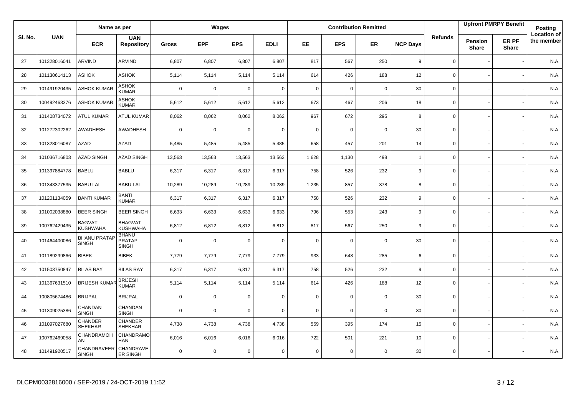|         |              | Name as per                         |                                               |              |             | Wages       |             |             |             | <b>Contribution Remitted</b> |                 |                |                         | <b>Upfront PMRPY Benefit</b> | Posting                          |
|---------|--------------|-------------------------------------|-----------------------------------------------|--------------|-------------|-------------|-------------|-------------|-------------|------------------------------|-----------------|----------------|-------------------------|------------------------------|----------------------------------|
| SI. No. | <b>UAN</b>   | <b>ECR</b>                          | <b>UAN</b><br><b>Repository</b>               | <b>Gross</b> | <b>EPF</b>  | <b>EPS</b>  | <b>EDLI</b> | EE.         | <b>EPS</b>  | <b>ER</b>                    | <b>NCP Days</b> | <b>Refunds</b> | Pension<br><b>Share</b> | ER PF<br><b>Share</b>        | <b>Location of</b><br>the member |
| 27      | 101328016041 | ARVIND                              | <b>ARVIND</b>                                 | 6,807        | 6,807       | 6,807       | 6,807       | 817         | 567         | 250                          | 9               | 0              |                         |                              | N.A.                             |
| 28      | 101130614113 | <b>ASHOK</b>                        | ASHOK                                         | 5,114        | 5,114       | 5,114       | 5,114       | 614         | 426         | 188                          | 12              | 0              |                         |                              | N.A.                             |
| 29      | 101491920435 | <b>ASHOK KUMAR</b>                  | <b>ASHOK</b><br><b>KUMAR</b>                  | $\mathbf 0$  | $\mathbf 0$ | 0           | $\mathbf 0$ | $\mathbf 0$ | 0           | $\mathbf 0$                  | 30              | 0              |                         |                              | N.A.                             |
| 30      | 100492463376 | <b>ASHOK KUMAR</b>                  | ASHOK<br><b>KUMAR</b>                         | 5,612        | 5,612       | 5,612       | 5,612       | 673         | 467         | 206                          | 18              | 0              |                         |                              | N.A.                             |
| 31      | 101408734072 | <b>ATUL KUMAR</b>                   | <b>ATUL KUMAR</b>                             | 8,062        | 8,062       | 8,062       | 8,062       | 967         | 672         | 295                          | 8               | 0              |                         |                              | N.A.                             |
| 32      | 101272302262 | AWADHESH                            | AWADHESH                                      | $\mathbf 0$  | $\Omega$    | 0           | $\mathbf 0$ | $\mathbf 0$ | 0           | $\mathbf 0$                  | 30              | 0              |                         |                              | N.A.                             |
| 33      | 101328016087 | AZAD                                | <b>AZAD</b>                                   | 5,485        | 5,485       | 5,485       | 5,485       | 658         | 457         | 201                          | 14              | 0              |                         |                              | N.A.                             |
| 34      | 101036716803 | <b>AZAD SINGH</b>                   | <b>AZAD SINGH</b>                             | 13,563       | 13,563      | 13,563      | 13,563      | 1,628       | 1,130       | 498                          | $\overline{1}$  | 0              |                         |                              | N.A.                             |
| 35      | 101397884778 | <b>BABLU</b>                        | <b>BABLU</b>                                  | 6,317        | 6,317       | 6,317       | 6,317       | 758         | 526         | 232                          | 9               | 0              |                         |                              | N.A.                             |
| 36      | 101343377535 | <b>BABU LAL</b>                     | <b>BABU LAL</b>                               | 10,289       | 10,289      | 10,289      | 10,289      | 1,235       | 857         | 378                          | 8               | $\mathbf{0}$   |                         |                              | N.A.                             |
| 37      | 101201134059 | <b>BANTI KUMAR</b>                  | <b>BANTI</b><br><b>KUMAR</b>                  | 6,317        | 6,317       | 6,317       | 6,317       | 758         | 526         | 232                          | 9               | 0              |                         |                              | N.A.                             |
| 38      | 101002038880 | <b>BEER SINGH</b>                   | <b>BEER SINGH</b>                             | 6,633        | 6,633       | 6,633       | 6,633       | 796         | 553         | 243                          | 9               | 0              |                         |                              | N.A.                             |
| 39      | 100762429435 | <b>BAGVAT</b><br><b>KUSHWAHA</b>    | <b>BHAGVAT</b><br><b>KUSHWAHA</b>             | 6,812        | 6,812       | 6,812       | 6,812       | 817         | 567         | 250                          | 9               | 0              |                         |                              | N.A.                             |
| 40      | 101464400086 | <b>BHANU PRATAP</b><br><b>SINGH</b> | <b>BHANU</b><br><b>PRATAP</b><br><b>SINGH</b> | $\mathbf 0$  | $\mathbf 0$ | 0           | $\mathbf 0$ | $\mathbf 0$ | 0           | $\mathbf 0$                  | 30              | 0              |                         |                              | N.A.                             |
| 41      | 101189299866 | <b>BIBEK</b>                        | <b>BIBEK</b>                                  | 7,779        | 7,779       | 7,779       | 7,779       | 933         | 648         | 285                          | 6               | 0              |                         |                              | N.A.                             |
| 42      | 101503750847 | <b>BILAS RAY</b>                    | <b>BILAS RAY</b>                              | 6,317        | 6,317       | 6,317       | 6,317       | 758         | 526         | 232                          | 9               | 0              |                         |                              | N.A.                             |
| 43      | 101367631510 | <b>BRIJESH KUMAF</b>                | <b>BRIJESH</b><br><b>KUMAR</b>                | 5,114        | 5,114       | 5,114       | 5,114       | 614         | 426         | 188                          | 12              | 0              |                         |                              | N.A.                             |
| 44      | 100805674486 | <b>BRIJPAL</b>                      | <b>BRIJPAL</b>                                | $\mathbf 0$  | $\mathbf 0$ | 0           | $\mathbf 0$ | $\mathsf 0$ | $\mathbf 0$ | $\mathbf 0$                  | 30              | 0              |                         |                              | N.A.                             |
| 45      | 101309025386 | CHANDAN<br><b>SINGH</b>             | CHANDAN<br><b>SINGH</b>                       | $\mathbf 0$  | $\mathbf 0$ | $\mathbf 0$ | $\mathbf 0$ | $\mathbf 0$ | $\mathbf 0$ | $\mathbf 0$                  | 30              | 0              |                         |                              | N.A.                             |
| 46      | 101097027680 | CHANDER<br><b>SHEKHAR</b>           | CHANDER<br><b>SHEKHAR</b>                     | 4,738        | 4,738       | 4,738       | 4,738       | 569         | 395         | 174                          | 15              | 0              |                         |                              | N.A.                             |
| 47      | 100762469058 | CHANDRAMOH<br>AN                    | CHANDRAMO<br><b>HAN</b>                       | 6,016        | 6,016       | 6,016       | 6,016       | 722         | 501         | 221                          | 10              | 0              |                         |                              | N.A.                             |
| 48      | 101491920517 | CHANDRAVEER<br><b>SINGH</b>         | CHANDRAVE<br>ER SINGH                         | $\mathbf 0$  | $\Omega$    | $\mathbf 0$ | $\mathbf 0$ | $\mathbf 0$ | $\mathbf 0$ | $\mathbf 0$                  | 30              | 0              |                         |                              | N.A.                             |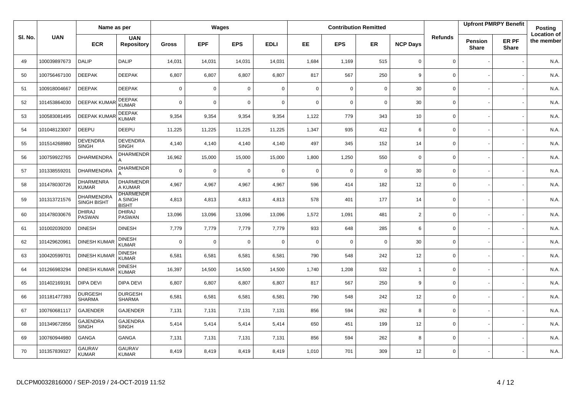|         |              | Name as per                      |                                             |              |             | Wages       |             |             |             | <b>Contribution Remitted</b> |                 |                |                         | <b>Upfront PMRPY Benefit</b> | <b>Posting</b>                   |
|---------|--------------|----------------------------------|---------------------------------------------|--------------|-------------|-------------|-------------|-------------|-------------|------------------------------|-----------------|----------------|-------------------------|------------------------------|----------------------------------|
| SI. No. | <b>UAN</b>   | <b>ECR</b>                       | <b>UAN</b><br><b>Repository</b>             | <b>Gross</b> | <b>EPF</b>  | <b>EPS</b>  | <b>EDLI</b> | EE          | <b>EPS</b>  | <b>ER</b>                    | <b>NCP Days</b> | <b>Refunds</b> | Pension<br><b>Share</b> | ER PF<br><b>Share</b>        | <b>Location of</b><br>the member |
| 49      | 100039897673 | <b>DALIP</b>                     | <b>DALIP</b>                                | 14,031       | 14,031      | 14,031      | 14,031      | 1,684       | 1,169       | 515                          | $\mathbf 0$     | 0              |                         |                              | N.A.                             |
| 50      | 100756467100 | <b>DEEPAK</b>                    | <b>DEEPAK</b>                               | 6,807        | 6,807       | 6,807       | 6,807       | 817         | 567         | 250                          | 9               | 0              |                         |                              | N.A.                             |
| 51      | 100918004667 | <b>DEEPAK</b>                    | <b>DEEPAK</b>                               | $\mathbf 0$  | $\mathbf 0$ | 0           | $\mathbf 0$ | $\mathbf 0$ | 0           | $\mathbf 0$                  | 30              | 0              |                         |                              | N.A.                             |
| 52      | 101453864030 | <b>DEEPAK KUMAR</b>              | <b>DEEPAK</b><br><b>KUMAR</b>               | $\mathbf 0$  | $\Omega$    | $\mathbf 0$ | $\mathbf 0$ | $\Omega$    | 0           | $\mathbf 0$                  | 30              | 0              |                         |                              | N.A.                             |
| 53      | 100583081495 | <b>DEEPAK KUMAR</b>              | <b>DEEPAK</b><br><b>KUMAR</b>               | 9,354        | 9,354       | 9,354       | 9,354       | 1,122       | 779         | 343                          | 10              | 0              |                         |                              | N.A.                             |
| 54      | 101048123007 | DEEPU                            | <b>DEEPU</b>                                | 11,225       | 11,225      | 11,225      | 11,225      | 1,347       | 935         | 412                          | 6               | 0              |                         |                              | N.A.                             |
| 55      | 101514268980 | <b>DEVENDRA</b><br><b>SINGH</b>  | <b>DEVENDRA</b><br><b>SINGH</b>             | 4,140        | 4,140       | 4,140       | 4,140       | 497         | 345         | 152                          | 14              | 0              |                         |                              | N.A.                             |
| 56      | 100759922765 | DHARMENDRA                       | <b>DHARMENDR</b>                            | 16,962       | 15,000      | 15,000      | 15,000      | 1,800       | 1,250       | 550                          | $\mathbf 0$     | 0              |                         |                              | N.A.                             |
| 57      | 101338559201 | <b>DHARMENDRA</b>                | <b>DHARMENDR</b><br>А                       | $\mathbf 0$  | $\mathbf 0$ | 0           | $\mathbf 0$ | $\mathbf 0$ | 0           | $\mathbf 0$                  | 30              | 0              |                         |                              | N.A.                             |
| 58      | 101478030726 | <b>DHARMENRA</b><br><b>KUMAR</b> | <b>DHARMENDR</b><br>A KUMAR                 | 4,967        | 4,967       | 4,967       | 4,967       | 596         | 414         | 182                          | 12              | 0              |                         |                              | N.A.                             |
| 59      | 101313721576 | DHARMENDRA<br><b>SINGH BISHT</b> | <b>DHARMENDR</b><br>A SINGH<br><b>BISHT</b> | 4,813        | 4,813       | 4,813       | 4,813       | 578         | 401         | 177                          | 14              | 0              |                         |                              | N.A.                             |
| 60      | 101478030676 | <b>DHIRAJ</b><br><b>PASWAN</b>   | <b>DHIRAJ</b><br><b>PASWAN</b>              | 13,096       | 13,096      | 13,096      | 13,096      | 1,572       | 1,091       | 481                          | 2               | $\mathbf{0}$   |                         |                              | N.A.                             |
| 61      | 101002039200 | <b>DINESH</b>                    | <b>DINESH</b>                               | 7,779        | 7,779       | 7,779       | 7,779       | 933         | 648         | 285                          | 6               | 0              |                         |                              | N.A.                             |
| 62      | 101429620961 | <b>DINESH KUMAR</b>              | <b>DINESH</b><br><b>KUMAR</b>               | $\mathbf 0$  | $\mathbf 0$ | $\mathbf 0$ | $\mathbf 0$ | $\mathbf 0$ | $\mathbf 0$ | $\mathbf 0$                  | 30              | 0              |                         |                              | N.A.                             |
| 63      | 100420599701 | <b>DINESH KUMAR</b>              | <b>DINESH</b><br><b>KUMAR</b>               | 6,581        | 6,581       | 6,581       | 6,581       | 790         | 548         | 242                          | 12              | 0              |                         |                              | N.A.                             |
| 64      | 101266983294 | <b>DINESH KUMAR</b>              | <b>DINESH</b><br><b>KUMAR</b>               | 16,397       | 14,500      | 14,500      | 14,500      | 1,740       | 1,208       | 532                          | $\overline{1}$  | 0              |                         |                              | N.A.                             |
| 65      | 101402169191 | <b>DIPA DEVI</b>                 | DIPA DEVI                                   | 6,807        | 6,807       | 6,807       | 6,807       | 817         | 567         | 250                          | 9               | 0              |                         |                              | N.A.                             |
| 66      | 101181477393 | <b>DURGESH</b><br><b>SHARMA</b>  | <b>DURGESH</b><br><b>SHARMA</b>             | 6,581        | 6,581       | 6,581       | 6,581       | 790         | 548         | 242                          | 12              | 0              |                         |                              | N.A.                             |
| 67      | 100760681117 | <b>GAJENDER</b>                  | <b>GAJENDER</b>                             | 7,131        | 7,131       | 7,131       | 7,131       | 856         | 594         | 262                          | 8               | 0              |                         |                              | N.A.                             |
| 68      | 101349672856 | <b>GAJENDRA</b><br><b>SINGH</b>  | <b>GAJENDRA</b><br><b>SINGH</b>             | 5,414        | 5,414       | 5,414       | 5,414       | 650         | 451         | 199                          | 12              | 0              |                         |                              | N.A.                             |
| 69      | 100760944980 | <b>GANGA</b>                     | <b>GANGA</b>                                | 7,131        | 7,131       | 7,131       | 7,131       | 856         | 594         | 262                          | 8               | 0              |                         |                              | N.A.                             |
| 70      | 101357839327 | <b>GAURAV</b><br><b>KUMAR</b>    | <b>GAURAV</b><br><b>KUMAR</b>               | 8,419        | 8,419       | 8,419       | 8,419       | 1,010       | 701         | 309                          | 12              | 0              |                         |                              | N.A.                             |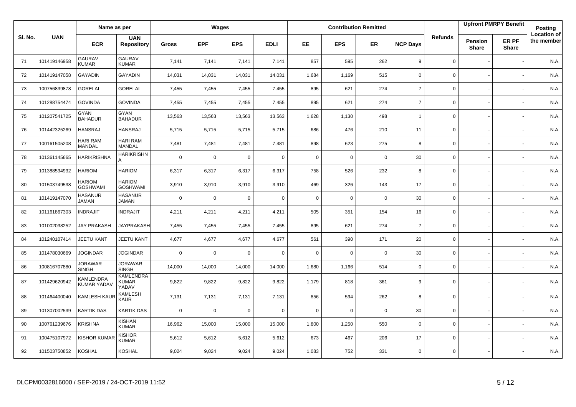|         |              | Name as per                            |                                           |              |             | Wages       |             |             |             | <b>Contribution Remitted</b> |                 |                |                                | <b>Upfront PMRPY Benefit</b> | Posting                          |
|---------|--------------|----------------------------------------|-------------------------------------------|--------------|-------------|-------------|-------------|-------------|-------------|------------------------------|-----------------|----------------|--------------------------------|------------------------------|----------------------------------|
| SI. No. | <b>UAN</b>   | <b>ECR</b>                             | <b>UAN</b><br><b>Repository</b>           | <b>Gross</b> | <b>EPF</b>  | <b>EPS</b>  | <b>EDLI</b> | EE          | <b>EPS</b>  | <b>ER</b>                    | <b>NCP Days</b> | <b>Refunds</b> | <b>Pension</b><br><b>Share</b> | ER PF<br><b>Share</b>        | <b>Location of</b><br>the member |
| 71      | 101419146958 | <b>GAURAV</b><br><b>KUMAR</b>          | <b>GAURAV</b><br><b>KUMAR</b>             | 7,141        | 7,141       | 7,141       | 7,141       | 857         | 595         | 262                          | 9               | 0              |                                |                              | N.A.                             |
| 72      | 101419147058 | GAYADIN                                | <b>GAYADIN</b>                            | 14,031       | 14,031      | 14,031      | 14,031      | 1,684       | 1,169       | 515                          | $\mathbf 0$     | 0              |                                |                              | N.A.                             |
| 73      | 100756839878 | <b>GORELAL</b>                         | <b>GORELAL</b>                            | 7,455        | 7,455       | 7,455       | 7,455       | 895         | 621         | 274                          | $\overline{7}$  | 0              |                                |                              | N.A.                             |
| 74      | 101288754474 | <b>GOVINDA</b>                         | <b>GOVINDA</b>                            | 7,455        | 7,455       | 7,455       | 7,455       | 895         | 621         | 274                          | $\overline{7}$  | 0              |                                |                              | N.A.                             |
| 75      | 101207541725 | <b>GYAN</b><br><b>BAHADUR</b>          | <b>GYAN</b><br><b>BAHADUR</b>             | 13,563       | 13,563      | 13,563      | 13,563      | 1,628       | 1,130       | 498                          | $\overline{1}$  | 0              |                                |                              | N.A.                             |
| 76      | 101442325269 | HANSRAJ                                | <b>HANSRAJ</b>                            | 5,715        | 5,715       | 5,715       | 5,715       | 686         | 476         | 210                          | 11              | 0              |                                |                              | N.A.                             |
| 77      | 100161505208 | <b>HARI RAM</b><br>MANDAL              | HARI RAM<br><b>MANDAL</b>                 | 7,481        | 7,481       | 7,481       | 7,481       | 898         | 623         | 275                          | 8               | 0              |                                |                              | N.A.                             |
| 78      | 101361145665 | <b>HARIKRISHNA</b>                     | <b>HARIKRISHN</b><br>A                    | $\mathbf 0$  | $\mathbf 0$ | 0           | $\mathbf 0$ | $\mathbf 0$ | 0           | $\mathbf 0$                  | 30              | 0              |                                |                              | N.A.                             |
| 79      | 101388534932 | <b>HARIOM</b>                          | <b>HARIOM</b>                             | 6,317        | 6,317       | 6,317       | 6,317       | 758         | 526         | 232                          | 8               | 0              |                                |                              | N.A.                             |
| 80      | 101503749538 | <b>HARIOM</b><br><b>GOSHWAMI</b>       | <b>HARIOM</b><br><b>GOSHWAMI</b>          | 3,910        | 3,910       | 3,910       | 3,910       | 469         | 326         | 143                          | 17              | 0              |                                |                              | N.A.                             |
| 81      | 101419147070 | <b>HASANUR</b><br><b>JAMAN</b>         | <b>HASANUR</b><br><b>JAMAN</b>            | $\mathbf 0$  | $\mathbf 0$ | $\mathbf 0$ | $\mathbf 0$ | $\mathbf 0$ | $\mathbf 0$ | $\mathbf 0$                  | 30              | 0              |                                |                              | N.A.                             |
| 82      | 101161867303 | <b>INDRAJIT</b>                        | <b>INDRAJIT</b>                           | 4,211        | 4,211       | 4,211       | 4,211       | 505         | 351         | 154                          | 16              | 0              |                                |                              | N.A.                             |
| 83      | 101002038252 | <b>JAY PRAKASH</b>                     | <b>JAYPRAKASH</b>                         | 7,455        | 7,455       | 7,455       | 7,455       | 895         | 621         | 274                          | $\overline{7}$  | 0              |                                |                              | N.A.                             |
| 84      | 101240107414 | <b>JEETU KANT</b>                      | <b>JEETU KANT</b>                         | 4,677        | 4,677       | 4,677       | 4,677       | 561         | 390         | 171                          | 20              | 0              |                                |                              | N.A.                             |
| 85      | 101478030669 | <b>JOGINDAR</b>                        | <b>JOGINDAR</b>                           | $\mathbf 0$  | $\mathbf 0$ | $\mathbf 0$ | $\mathbf 0$ | $\mathbf 0$ | $\mathbf 0$ | $\mathbf 0$                  | 30              | 0              |                                |                              | N.A.                             |
| 86      | 100816707880 | JORAWAR<br><b>SINGH</b>                | <b>JORAWAR</b><br><b>SINGH</b>            | 14,000       | 14,000      | 14,000      | 14,000      | 1,680       | 1,166       | 514                          | $\mathbf 0$     | 0              |                                |                              | N.A.                             |
| 87      | 101429620942 | <b>KAMLENDRA</b><br><b>KUMAR YADA\</b> | <b>KAMLENDRA</b><br><b>KUMAR</b><br>YADAV | 9,822        | 9,822       | 9,822       | 9,822       | 1,179       | 818         | 361                          | 9               | 0              |                                |                              | N.A.                             |
| 88      | 101464400040 | KAMLESH KAUR                           | <b>KAMLESH</b><br><b>KAUR</b>             | 7,131        | 7,131       | 7,131       | 7,131       | 856         | 594         | 262                          | 8               | 0              |                                |                              | N.A.                             |
| 89      | 101307002539 | <b>KARTIK DAS</b>                      | KARTIK DAS                                | $\mathbf 0$  | $\Omega$    | 0           | $\mathbf 0$ | $\mathbf 0$ | $\mathbf 0$ | $\mathbf 0$                  | 30              | 0              |                                |                              | N.A.                             |
| 90      | 100761239676 | <b>KRISHNA</b>                         | <b>KISHAN</b><br><b>KUMAR</b>             | 16,962       | 15,000      | 15,000      | 15,000      | 1,800       | 1,250       | 550                          | $\mathbf 0$     | 0              |                                |                              | N.A.                             |
| 91      | 100475107972 | <b>KISHOR KUMA</b>                     | <b>KISHOR</b><br><b>KUMAR</b>             | 5,612        | 5,612       | 5,612       | 5,612       | 673         | 467         | 206                          | 17              | 0              |                                |                              | N.A.                             |
| 92      | 101503750852 | <b>KOSHAL</b>                          | KOSHAL                                    | 9,024        | 9,024       | 9,024       | 9,024       | 1,083       | 752         | 331                          | $\Omega$        | 0              |                                |                              | N.A.                             |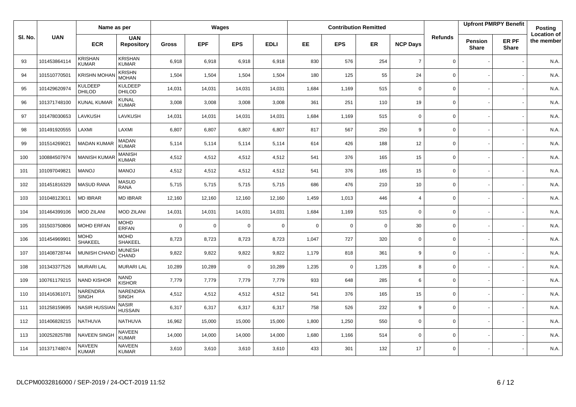|         |              | Name as per                     |                                 |              |             | Wages       |             |             |             | <b>Contribution Remitted</b> |                 |                |                         | <b>Upfront PMRPY Benefit</b> | Posting                          |
|---------|--------------|---------------------------------|---------------------------------|--------------|-------------|-------------|-------------|-------------|-------------|------------------------------|-----------------|----------------|-------------------------|------------------------------|----------------------------------|
| SI. No. | <b>UAN</b>   | <b>ECR</b>                      | <b>UAN</b><br><b>Repository</b> | <b>Gross</b> | <b>EPF</b>  | <b>EPS</b>  | <b>EDLI</b> | <b>EE</b>   | <b>EPS</b>  | <b>ER</b>                    | <b>NCP Days</b> | <b>Refunds</b> | Pension<br><b>Share</b> | ER PF<br><b>Share</b>        | <b>Location of</b><br>the member |
| 93      | 101453864114 | <b>KRISHAN</b><br><b>KUMAR</b>  | <b>KRISHAN</b><br><b>KUMAR</b>  | 6,918        | 6,918       | 6,918       | 6,918       | 830         | 576         | 254                          | $\overline{7}$  | $\mathbf 0$    |                         |                              | N.A.                             |
| 94      | 101510770501 | <b>KRISHN MOHA</b>              | <b>KRISHN</b><br><b>MOHAN</b>   | 1,504        | 1,504       | 1,504       | 1,504       | 180         | 125         | 55                           | 24              | $\Omega$       |                         |                              | N.A.                             |
| 95      | 101429620974 | <b>KULDEEP</b><br><b>DHILOD</b> | <b>KULDEEP</b><br><b>DHILOD</b> | 14,031       | 14,031      | 14,031      | 14,031      | 1,684       | 1,169       | 515                          | $\mathbf 0$     | $\mathbf 0$    |                         |                              | N.A.                             |
| 96      | 101371748100 | <b>KUNAL KUMAR</b>              | <b>KUNAL</b><br><b>KUMAR</b>    | 3,008        | 3,008       | 3,008       | 3,008       | 361         | 251         | 110                          | 19              | $\mathsf 0$    |                         |                              | N.A.                             |
| 97      | 101478030653 | LAVKUSH                         | LAVKUSH                         | 14,031       | 14,031      | 14,031      | 14,031      | 1,684       | 1,169       | 515                          | $\mathbf 0$     | $\mathbf 0$    |                         |                              | N.A.                             |
| 98      | 101491920555 | LAXMI                           | LAXMI                           | 6,807        | 6,807       | 6,807       | 6,807       | 817         | 567         | 250                          | 9               | $\Omega$       |                         |                              | N.A.                             |
| 99      | 101514269021 | <b>MADAN KUMAR</b>              | <b>MADAN</b><br><b>KUMAR</b>    | 5,114        | 5,114       | 5,114       | 5,114       | 614         | 426         | 188                          | 12              | $\mathsf 0$    |                         |                              | N.A.                             |
| 100     | 100884507974 | <b>MANISH KUMA</b>              | <b>MANISH</b><br><b>KUMAR</b>   | 4,512        | 4,512       | 4,512       | 4,512       | 541         | 376         | 165                          | 15              | $\mathsf 0$    |                         |                              | N.A.                             |
| 101     | 101097049821 | <b>MANOJ</b>                    | <b>MANOJ</b>                    | 4,512        | 4,512       | 4.512       | 4,512       | 541         | 376         | 165                          | 15              | $\mathbf 0$    |                         |                              | N.A.                             |
| 102     | 101451816329 | <b>MASUD RANA</b>               | <b>MASUD</b><br><b>RANA</b>     | 5,715        | 5,715       | 5,715       | 5,715       | 686         | 476         | 210                          | 10              | 0              |                         |                              | N.A.                             |
| 103     | 101048123011 | <b>MD IBRAR</b>                 | <b>MD IBRAR</b>                 | 12,160       | 12,160      | 12,160      | 12,160      | 1,459       | 1,013       | 446                          | $\overline{4}$  | $\mathbf 0$    |                         |                              | N.A.                             |
| 104     | 101464399106 | <b>MOD ZILANI</b>               | <b>MOD ZILANI</b>               | 14,031       | 14,031      | 14,031      | 14,031      | 1,684       | 1,169       | 515                          | $\mathbf 0$     | 0              |                         |                              | N.A.                             |
| 105     | 101503750806 | <b>MOHD ERFAN</b>               | <b>MOHD</b><br><b>ERFAN</b>     | $\mathbf 0$  | $\mathbf 0$ | $\mathbf 0$ | $\mathbf 0$ | $\mathbf 0$ | $\mathbf 0$ | $\mathbf 0$                  | 30              | $\mathbf 0$    |                         |                              | N.A.                             |
| 106     | 101454969901 | <b>MOHD</b><br>SHAKEEL          | <b>MOHD</b><br><b>SHAKEEL</b>   | 8,723        | 8,723       | 8,723       | 8,723       | 1,047       | 727         | 320                          | $\mathbf 0$     | $\mathbf 0$    |                         |                              | N.A.                             |
| 107     | 101408728744 | <b>MUNISH CHAND</b>             | <b>MUNESH</b><br>CHAND          | 9,822        | 9,822       | 9,822       | 9,822       | 1,179       | 818         | 361                          | 9               | $\mathbf 0$    |                         |                              | N.A.                             |
| 108     | 101343377526 | <b>MURARI LAL</b>               | <b>MURARI LAL</b>               | 10,289       | 10,289      | $\mathbf 0$ | 10,289      | 1,235       | $\mathbf 0$ | 1,235                        | 8               | $\mathbf 0$    |                         |                              | N.A.                             |
| 109     | 100761179215 | <b>NAND KISHOR</b>              | <b>NAND</b><br><b>KISHOR</b>    | 7,779        | 7,779       | 7,779       | 7,779       | 933         | 648         | 285                          | 6               | $\mathsf 0$    |                         |                              | N.A.                             |
| 110     | 101416361071 | NARENDRA<br><b>SINGH</b>        | NARENDRA<br><b>SINGH</b>        | 4,512        | 4,512       | 4,512       | 4,512       | 541         | 376         | 165                          | 15              | $\mathbf 0$    |                         |                              | N.A.                             |
| 111     | 101258159695 | <b>NASIR HUSSIAN</b>            | <b>NASIR</b><br><b>HUSSAIN</b>  | 6,317        | 6,317       | 6,317       | 6,317       | 758         | 526         | 232                          | 9               | $\mathbf 0$    |                         |                              | N.A                              |
| 112     | 101406828215 | NATHUVA                         | NATHUVA                         | 16,962       | 15,000      | 15,000      | 15,000      | 1,800       | 1,250       | 550                          | $\mathbf 0$     | $\mathbf 0$    |                         |                              | N.A.                             |
| 113     | 100252825788 | <b>NAVEEN SINGH</b>             | <b>NAVEEN</b><br><b>KUMAR</b>   | 14,000       | 14,000      | 14,000      | 14,000      | 1,680       | 1,166       | 514                          | $\mathbf 0$     | $\mathbf 0$    |                         |                              | N.A.                             |
| 114     | 101371748074 | <b>NAVEEN</b><br><b>KUMAR</b>   | <b>NAVEEN</b><br><b>KUMAR</b>   | 3,610        | 3,610       | 3,610       | 3,610       | 433         | 301         | 132                          | 17              | $\mathbf 0$    |                         |                              | N.A.                             |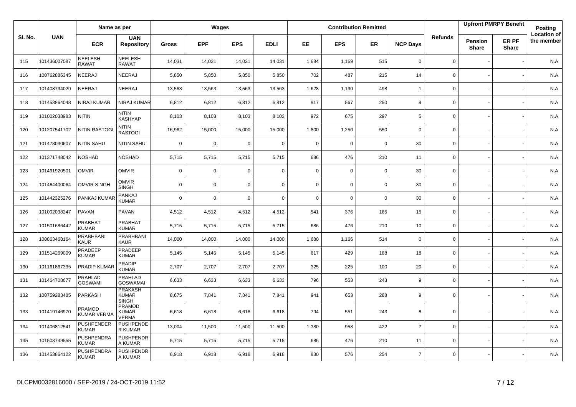|         |              | Name as per                       |                                                |              |             | Wages       |             |             |             | <b>Contribution Remitted</b> |                 |                |                         | <b>Upfront PMRPY Benefit</b> | Posting                          |
|---------|--------------|-----------------------------------|------------------------------------------------|--------------|-------------|-------------|-------------|-------------|-------------|------------------------------|-----------------|----------------|-------------------------|------------------------------|----------------------------------|
| SI. No. | <b>UAN</b>   | <b>ECR</b>                        | <b>UAN</b><br><b>Repository</b>                | <b>Gross</b> | <b>EPF</b>  | <b>EPS</b>  | <b>EDLI</b> | EE          | <b>EPS</b>  | ER                           | <b>NCP Days</b> | <b>Refunds</b> | Pension<br><b>Share</b> | ER PF<br><b>Share</b>        | <b>Location of</b><br>the member |
| 115     | 101436007087 | <b>NEELESH</b><br><b>RAWAT</b>    | <b>NEELESH</b><br><b>RAWAT</b>                 | 14,031       | 14,031      | 14,031      | 14,031      | 1,684       | 1,169       | 515                          | $\mathbf 0$     | $\mathbf 0$    |                         |                              | N.A.                             |
| 116     | 100762885345 | NEERAJ                            | NEERAJ                                         | 5,850        | 5,850       | 5,850       | 5,850       | 702         | 487         | 215                          | 14              | $\mathbf 0$    |                         |                              | N.A.                             |
| 117     | 101408734029 | <b>NEERAJ</b>                     | <b>NEERAJ</b>                                  | 13,563       | 13,563      | 13,563      | 13,563      | 1,628       | 1,130       | 498                          | $\overline{1}$  | 0              |                         |                              | N.A.                             |
| 118     | 101453864048 | <b>NIRAJ KUMAR</b>                | NIRAJ KUMAR                                    | 6,812        | 6,812       | 6,812       | 6,812       | 817         | 567         | 250                          | 9               | $\mathbf 0$    |                         |                              | N.A.                             |
| 119     | 101002038983 | <b>NITIN</b>                      | <b>NITIN</b><br><b>KASHYAP</b>                 | 8,103        | 8,103       | 8,103       | 8,103       | 972         | 675         | 297                          | 5               | 0              |                         |                              | N.A.                             |
| 120     | 101207541702 | <b>NITIN RASTOG</b>               | <b>NITIN</b><br><b>RASTOGI</b>                 | 16,962       | 15,000      | 15,000      | 15,000      | 1,800       | 1,250       | 550                          | $\mathbf 0$     | $\mathbf 0$    |                         |                              | N.A.                             |
| 121     | 101478030607 | NITIN SAHU                        | NITIN SAHU                                     | $\mathbf 0$  | $\mathbf 0$ | $\mathbf 0$ | $\mathbf 0$ | $\mathbf 0$ | $\mathbf 0$ | $\mathbf 0$                  | 30              | 0              |                         |                              | N.A.                             |
| 122     | 101371748042 | <b>NOSHAD</b>                     | <b>NOSHAD</b>                                  | 5,715        | 5,715       | 5,715       | 5,715       | 686         | 476         | 210                          | 11              | $\mathbf 0$    |                         |                              | N.A.                             |
| 123     | 101491920501 | <b>OMVIR</b>                      | <b>OMVIR</b>                                   | $\mathbf 0$  | $\mathbf 0$ | $\mathbf 0$ | $\mathbf 0$ | $\mathbf 0$ | $\mathbf 0$ | $\overline{0}$               | 30              | $\mathbf 0$    |                         |                              | N.A.                             |
| 124     | 101464400064 | <b>OMVIR SINGH</b>                | <b>OMVIR</b><br><b>SINGH</b>                   | $\mathbf 0$  | $\mathbf 0$ | $\mathbf 0$ | $\mathbf 0$ | $\mathbf 0$ | $\mathbf 0$ | $\overline{0}$               | 30              | $\mathbf 0$    |                         |                              | N.A.                             |
| 125     | 101442325276 | PANKAJ KUMAR                      | PANKAJ<br><b>KUMAR</b>                         | $\mathbf 0$  | $\mathbf 0$ | $\mathbf 0$ | $\mathbf 0$ | $\mathbf 0$ | $\mathbf 0$ | $\mathbf 0$                  | 30              | $\mathbf 0$    |                         |                              | N.A.                             |
| 126     | 101002038247 | PAVAN                             | PAVAN                                          | 4,512        | 4,512       | 4,512       | 4,512       | 541         | 376         | 165                          | 15              | $\mathsf 0$    |                         |                              | N.A.                             |
| 127     | 101501686442 | PRABHAT<br><b>KUMAR</b>           | PRABHAT<br><b>KUMAR</b>                        | 5,715        | 5,715       | 5.715       | 5,715       | 686         | 476         | 210                          | 10              | $\mathbf 0$    |                         |                              | N.A.                             |
| 128     | 100863468164 | PRABHBANI<br>KAUR                 | PRABHBANI<br><b>KAUR</b>                       | 14,000       | 14,000      | 14,000      | 14,000      | 1,680       | 1,166       | 514                          | $\mathbf 0$     | $\mathsf 0$    |                         |                              | N.A.                             |
| 129     | 101514269009 | PRADEEP<br><b>KUMAR</b>           | PRADEEP<br><b>KUMAR</b>                        | 5,145        | 5,145       | 5,145       | 5,145       | 617         | 429         | 188                          | 18              | $\mathbf 0$    |                         |                              | N.A.                             |
| 130     | 101161867335 | PRADIP KUMAR                      | <b>PRADIP</b><br><b>KUMAR</b>                  | 2,707        | 2,707       | 2,707       | 2,707       | 325         | 225         | 100                          | 20              | $\mathbf 0$    |                         |                              | N.A.                             |
| 131     | 101464708677 | PRAHLAD<br><b>GOSWAMI</b>         | <b>PRAHLAD</b><br><b>GOSWAMAI</b>              | 6,633        | 6,633       | 6,633       | 6,633       | 796         | 553         | 243                          | 9               | $\mathbf 0$    |                         |                              | N.A.                             |
| 132     | 100759283485 | PARKASH                           | <b>PRAKASH</b><br><b>KUMAR</b><br><b>SINGH</b> | 8,675        | 7,841       | 7,841       | 7,841       | 941         | 653         | 288                          | 9               | $\Omega$       |                         |                              | N.A.                             |
| 133     | 101419146970 | PRAMOD<br>KUMAR VERMA             | <b>PRAMOD</b><br><b>KUMAR</b><br><b>VERMA</b>  | 6,618        | 6,618       | 6,618       | 6,618       | 794         | 551         | 243                          | 8               | $\mathbf 0$    |                         |                              | N.A.                             |
| 134     | 101406812541 | <b>PUSHPENDER</b><br><b>KUMAR</b> | <b>PUSHPENDE</b><br>R KUMAR                    | 13,004       | 11,500      | 11,500      | 11,500      | 1,380       | 958         | 422                          | $\overline{7}$  | $\mathbf 0$    |                         |                              | N.A.                             |
| 135     | 101503749555 | PUSHPENDRA<br><b>KUMAR</b>        | <b>PUSHPENDR</b><br>A KUMAR                    | 5,715        | 5,715       | 5,715       | 5,715       | 686         | 476         | 210                          | 11              | $\mathbf 0$    |                         |                              | N.A.                             |
| 136     | 101453864122 | PUSHPENDRA<br>KUMAR               | <b>PUSHPENDR</b><br>A KUMAR                    | 6,918        | 6,918       | 6,918       | 6,918       | 830         | 576         | 254                          | $\overline{7}$  | $\mathbf 0$    |                         |                              | N.A.                             |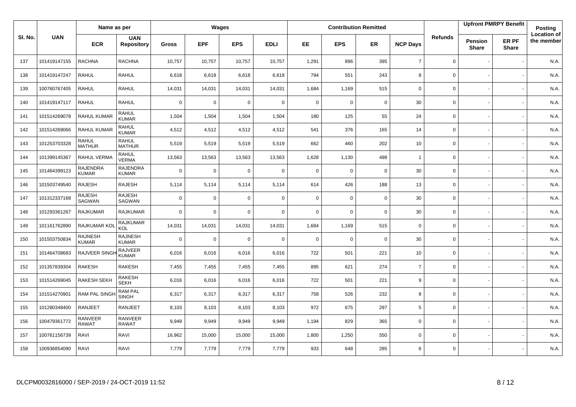|         |              | Name as per                     |                                 |             |             | <b>Wages</b> |                |             |             | <b>Contribution Remitted</b> |                 |                     |                                | <b>Upfront PMRPY Benefit</b> | Posting                          |
|---------|--------------|---------------------------------|---------------------------------|-------------|-------------|--------------|----------------|-------------|-------------|------------------------------|-----------------|---------------------|--------------------------------|------------------------------|----------------------------------|
| SI. No. | <b>UAN</b>   | <b>ECR</b>                      | <b>UAN</b><br><b>Repository</b> | Gross       | <b>EPF</b>  | <b>EPS</b>   | <b>EDLI</b>    | <b>EE</b>   | <b>EPS</b>  | <b>ER</b>                    | <b>NCP Days</b> | <b>Refunds</b>      | <b>Pension</b><br><b>Share</b> | ER PF<br><b>Share</b>        | <b>Location of</b><br>the member |
| 137     | 101419147155 | <b>RACHNA</b>                   | <b>RACHNA</b>                   | 10,757      | 10,757      | 10,757       | 10,757         | 1,291       | 896         | 395                          | $\overline{7}$  | $\mathbf 0$         |                                |                              | N.A.                             |
| 138     | 101419147247 | <b>RAHUL</b>                    | <b>RAHUL</b>                    | 6,618       | 6,618       | 6,618        | 6,618          | 794         | 551         | 243                          | 8               | $\mathbf 0$         |                                |                              | N.A.                             |
| 139     | 100760767405 | <b>RAHUL</b>                    | <b>RAHUL</b>                    | 14,031      | 14,031      | 14,031       | 14,031         | 1,684       | 1,169       | 515                          | 0               | $\mathsf 0$         |                                |                              | N.A.                             |
| 140     | 101419147117 | <b>RAHUL</b>                    | <b>RAHUL</b>                    | $\mathbf 0$ | $\mathbf 0$ | $\mathbf 0$  | $\mathbf 0$    | 0           | $\mathbf 0$ | $\mathbf 0$                  | 30              | $\mathbf 0$         |                                |                              | N.A.                             |
| 141     | 101514269078 | <b>RAHUL KUMAR</b>              | <b>RAHUL</b><br><b>KUMAR</b>    | 1,504       | 1,504       | 1,504        | 1,504          | 180         | 125         | 55                           | 24              | $\mathbf 0$         |                                |                              | N.A.                             |
| 142     | 101514269066 | <b>RAHUL KUMAR</b>              | <b>RAHUL</b><br><b>KUMAR</b>    | 4,512       | 4,512       | 4,512        | 4,512          | 541         | 376         | 165                          | 14              | $\mathsf{O}\xspace$ |                                |                              | N.A.                             |
| 143     | 101253703328 | RAHUL<br><b>MATHUR</b>          | <b>RAHUL</b><br><b>MATHUR</b>   | 5,519       | 5,519       | 5,519        | 5,519          | 662         | 460         | 202                          | 10              | $\mathbf 0$         |                                |                              | N.A.                             |
| 144     | 101399145367 | RAHUL VERMA                     | <b>RAHUL</b><br><b>VERMA</b>    | 13,563      | 13,563      | 13,563       | 13,563         | 1,628       | 1,130       | 498                          | $\overline{1}$  | $\mathbf 0$         |                                |                              | N.A.                             |
| 145     | 101464399123 | <b>RAJENDRA</b><br><b>KUMAR</b> | <b>RAJENDRA</b><br><b>KUMAR</b> | $\mathbf 0$ | $\mathbf 0$ | $\mathbf 0$  | $\mathbf 0$    | $\mathbf 0$ | $\mathbf 0$ | $\mathbf 0$                  | 30              | $\mathsf{O}\xspace$ |                                |                              | N.A.                             |
| 146     | 101503749540 | <b>RAJESH</b>                   | RAJESH                          | 5,114       | 5,114       | 5,114        | 5,114          | 614         | 426         | 188                          | 13              | $\mathbf 0$         |                                |                              | N.A.                             |
| 147     | 101312337168 | <b>RAJESH</b><br>SAGWAN         | <b>RAJESH</b><br>SAGWAN         | $\mathbf 0$ | $\mathbf 0$ | $\mathbf 0$  | $\mathbf 0$    | $\mathbf 0$ | $\mathbf 0$ | $\mathbf 0$                  | 30              | $\mathbf 0$         |                                |                              | N.A.                             |
| 148     | 101293361267 | <b>RAJKUMAR</b>                 | <b>RAJKUMAR</b>                 | $\mathbf 0$ | $\mathbf 0$ | $\mathbf 0$  | $\mathbf 0$    | $\mathbf 0$ | $\mathbf 0$ | $\mathbf 0$                  | 30              | $\mathbf 0$         |                                |                              | N.A.                             |
| 149     | 101161762890 | RAJKUMAR KO                     | <b>RAJKUMAR</b><br>KOL          | 14,031      | 14,031      | 14,031       | 14,031         | 1,684       | 1,169       | 515                          | $\mathbf 0$     | $\mathbf 0$         |                                |                              | N.A.                             |
| 150     | 101503750834 | RAJNESH<br><b>KUMAR</b>         | <b>RAJNESH</b><br><b>KUMAR</b>  | $\mathbf 0$ | $\mathbf 0$ | $\mathbf 0$  | $\overline{0}$ | 0           | $\mathbf 0$ | $\mathbf 0$                  | 30              | $\boldsymbol{0}$    |                                |                              | N.A.                             |
| 151     | 101464708683 | <b>RAJVEER SING</b>             | <b>RAJVEER</b><br><b>KUMAR</b>  | 6,016       | 6,016       | 6,016        | 6,016          | 722         | 501         | 221                          | 10              | $\mathbf 0$         |                                |                              | N.A.                             |
| 152     | 101357839304 | <b>RAKESH</b>                   | <b>RAKESH</b>                   | 7,455       | 7,455       | 7,455        | 7,455          | 895         | 621         | 274                          | $\overline{7}$  | $\mathbf 0$         |                                |                              | N.A.                             |
| 153     | 101514269045 | <b>RAKESH SEKH</b>              | <b>RAKESH</b><br><b>SEKH</b>    | 6,016       | 6,016       | 6,016        | 6,016          | 722         | 501         | 221                          | 9               | $\mathsf{O}\xspace$ |                                |                              | N.A.                             |
| 154     | 101514270901 | <b>RAM PAL SINGI</b>            | <b>RAM PAL</b><br>SINGH         | 6,317       | 6,317       | 6,317        | 6,317          | 758         | 526         | 232                          | 8               | $\mathbf 0$         |                                |                              | N.A.                             |
| 155     | 101280348400 | <b>RANJEET</b>                  | <b>RANJEET</b>                  | 8,103       | 8,103       | 8,103        | 8,103          | 972         | 675         | 297                          | 5               | $\mathbf 0$         |                                |                              | N.A.                             |
| 156     | 100479361772 | RANVEER<br><b>RAWAT</b>         | <b>RANVEER</b><br><b>RAWAT</b>  | 9,949       | 9,949       | 9,949        | 9,949          | 1,194       | 829         | 365                          | $\mathbf 0$     | $\mathbf 0$         |                                |                              | N.A.                             |
| 157     | 100761156739 | RAVI                            | RAVI                            | 16,962      | 15,000      | 15,000       | 15,000         | 1,800       | 1,250       | 550                          | 0               | $\mathbf 0$         |                                |                              | N.A.                             |
| 158     | 100936854090 | RAVI                            | RAVI                            | 7,779       | 7,779       | 7,779        | 7,779          | 933         | 648         | 285                          | 6               | $\mathsf 0$         |                                |                              | N.A.                             |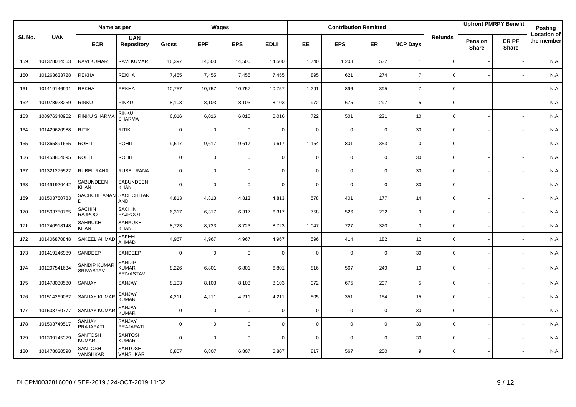|         |              | Name as per                     |                                     |              |             | Wages       |             |             |             | <b>Contribution Remitted</b> |                 |                |                                | <b>Upfront PMRPY Benefit</b> | Posting                          |
|---------|--------------|---------------------------------|-------------------------------------|--------------|-------------|-------------|-------------|-------------|-------------|------------------------------|-----------------|----------------|--------------------------------|------------------------------|----------------------------------|
| SI. No. | <b>UAN</b>   | <b>ECR</b>                      | <b>UAN</b><br><b>Repository</b>     | <b>Gross</b> | <b>EPF</b>  | <b>EPS</b>  | <b>EDLI</b> | EE          | <b>EPS</b>  | <b>ER</b>                    | <b>NCP Days</b> | <b>Refunds</b> | <b>Pension</b><br><b>Share</b> | ER PF<br><b>Share</b>        | <b>Location of</b><br>the member |
| 159     | 101328014563 | <b>RAVI KUMAR</b>               | RAVI KUMAR                          | 16,397       | 14,500      | 14,500      | 14,500      | 1,740       | 1,208       | 532                          | $\overline{1}$  | 0              |                                |                              | N.A.                             |
| 160     | 101263633728 | <b>REKHA</b>                    | <b>REKHA</b>                        | 7,455        | 7,455       | 7,455       | 7,455       | 895         | 621         | 274                          | $\overline{7}$  | 0              |                                |                              | N.A.                             |
| 161     | 101419146991 | <b>REKHA</b>                    | <b>REKHA</b>                        | 10,757       | 10,757      | 10,757      | 10,757      | 1,291       | 896         | 395                          | $\overline{7}$  | 0              |                                |                              | N.A.                             |
| 162     | 101078928259 | <b>RINKU</b>                    | <b>RINKU</b>                        | 8,103        | 8,103       | 8,103       | 8,103       | 972         | 675         | 297                          | 5               | 0              |                                |                              | N.A.                             |
| 163     | 100976340962 | RINKU SHARMA                    | RINKU<br><b>SHARMA</b>              | 6,016        | 6,016       | 6,016       | 6,016       | 722         | 501         | 221                          | 10              | 0              |                                |                              | N.A.                             |
| 164     | 101429620988 | <b>RITIK</b>                    | <b>RITIK</b>                        | $\mathbf 0$  | $\mathbf 0$ | 0           | $\mathbf 0$ | $\mathbf 0$ | 0           | $\mathbf 0$                  | 30              | 0              |                                |                              | N.A.                             |
| 165     | 101365891665 | <b>ROHIT</b>                    | <b>ROHIT</b>                        | 9,617        | 9,617       | 9,617       | 9,617       | 1,154       | 801         | 353                          | $\mathbf 0$     | $\mathbf{0}$   |                                |                              | N.A.                             |
| 166     | 101453864095 | <b>ROHIT</b>                    | <b>ROHIT</b>                        | $\mathbf 0$  | $\mathbf 0$ | $\mathbf 0$ | $\mathbf 0$ | $\mathbf 0$ | $\mathbf 0$ | $\mathbf 0$                  | 30              | 0              |                                |                              | N.A.                             |
| 167     | 101321275522 | <b>RUBEL RANA</b>               | <b>RUBEL RANA</b>                   | $\mathbf 0$  | $\mathbf 0$ | $\mathbf 0$ | $\mathbf 0$ | $\mathbf 0$ | $\mathbf 0$ | $\mathbf 0$                  | 30              | 0              |                                |                              | N.A.                             |
| 168     | 101491920442 | SABUNDEEN<br><b>KHAN</b>        | SABUNDEEN<br><b>KHAN</b>            | $\mathbf 0$  | $\Omega$    | 0           | $\mathbf 0$ | $\mathbf 0$ | 0           | $\mathbf 0$                  | 30              | 0              |                                |                              | N.A.                             |
| 169     | 101503750783 | SACHCHITANAN<br>D               | SACHCHITAN<br>AND                   | 4,813        | 4,813       | 4,813       | 4,813       | 578         | 401         | 177                          | 14              | 0              |                                |                              | N.A.                             |
| 170     | 101503750765 | <b>SACHIN</b><br><b>RAJPOOT</b> | <b>SACHIN</b><br><b>RAJPOOT</b>     | 6,317        | 6,317       | 6,317       | 6,317       | 758         | 526         | 232                          | 9               | 0              |                                |                              | N.A.                             |
| 171     | 101240918148 | <b>SAHRUKH</b><br><b>KHAN</b>   | <b>SAHRUKH</b><br><b>KHAN</b>       | 8,723        | 8,723       | 8,723       | 8,723       | 1,047       | 727         | 320                          | $\mathsf 0$     | 0              |                                |                              | N.A.                             |
| 172     | 101406870848 | SAKEEL AHMA                     | SAKEEL<br>AHMAD                     | 4,967        | 4,967       | 4,967       | 4,967       | 596         | 414         | 182                          | 12              | $\mathbf 0$    |                                |                              | N.A.                             |
| 173     | 101419146989 | SANDEEP                         | SANDEEP                             | $\mathbf 0$  | $\mathbf 0$ | $\mathbf 0$ | $\mathbf 0$ | $\mathbf 0$ | $\mathbf 0$ | $\mathbf 0$                  | 30              | 0              |                                |                              | N.A.                             |
| 174     | 101207541634 | SANDIP KUMAR<br>SRIVASTAV       | <b>SANDIP</b><br>KUMAR<br>SRIVASTAV | 8,226        | 6,801       | 6,801       | 6,801       | 816         | 567         | 249                          | 10              | 0              |                                |                              | N.A.                             |
| 175     | 101478030580 | SANJAY                          | SANJAY                              | 8,103        | 8,103       | 8,103       | 8,103       | 972         | 675         | 297                          | 5               | 0              |                                |                              | N.A.                             |
| 176     | 101514269032 | <b>SANJAY KUMAR</b>             | SANJAY<br><b>KUMAR</b>              | 4,211        | 4,211       | 4,211       | 4,211       | 505         | 351         | 154                          | 15              | 0              |                                |                              | N.A.                             |
| 177     | 101503750777 | <b>SANJAY KUMA</b>              | SANJAY<br><b>KUMAR</b>              | $\mathbf 0$  | $\mathbf 0$ | 0           | $\mathbf 0$ | $\mathbf 0$ | $\mathbf 0$ | $\overline{0}$               | 30              | 0              |                                |                              | N.A.                             |
| 178     | 101503749517 | SANJAY<br><b>PRAJAPATI</b>      | SANJAY<br><b>PRAJAPATI</b>          | $\mathbf 0$  | $\mathbf 0$ | $\mathbf 0$ | $\mathbf 0$ | $\mathbf 0$ | $\mathbf 0$ | $\mathbf 0$                  | 30              | 0              |                                |                              | N.A.                             |
| 179     | 101399145379 | <b>SANTOSH</b><br><b>KUMAR</b>  | <b>SANTOSH</b><br><b>KUMAR</b>      | $\mathbf 0$  | $\mathbf 0$ | $\mathbf 0$ | $\mathbf 0$ | $\mathbf 0$ | $\mathbf 0$ | $\mathbf 0$                  | 30              | 0              |                                |                              | N.A.                             |
| 180     | 101478030598 | <b>SANTOSH</b><br>VANSHKAR      | <b>SANTOSH</b><br>VANSHKAR          | 6,807        | 6,807       | 6,807       | 6,807       | 817         | 567         | 250                          | 9               | $\mathbf 0$    |                                |                              | N.A.                             |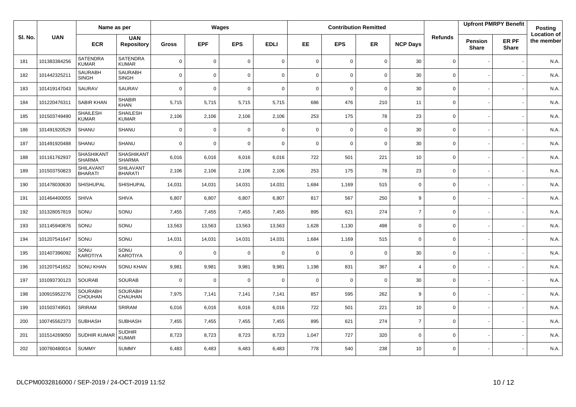|         |              | Name as per                     |                                 |              |             | Wages       |             |             |             | <b>Contribution Remitted</b> |                 |                |                                | <b>Upfront PMRPY Benefit</b> | Posting                          |
|---------|--------------|---------------------------------|---------------------------------|--------------|-------------|-------------|-------------|-------------|-------------|------------------------------|-----------------|----------------|--------------------------------|------------------------------|----------------------------------|
| SI. No. | <b>UAN</b>   | <b>ECR</b>                      | <b>UAN</b><br><b>Repository</b> | <b>Gross</b> | <b>EPF</b>  | <b>EPS</b>  | <b>EDLI</b> | EE          | <b>EPS</b>  | <b>ER</b>                    | <b>NCP Days</b> | <b>Refunds</b> | <b>Pension</b><br><b>Share</b> | ER PF<br><b>Share</b>        | <b>Location of</b><br>the member |
| 181     | 101383384256 | <b>SATENDRA</b><br><b>KUMAR</b> | <b>SATENDRA</b><br><b>KUMAR</b> | $\mathbf 0$  | $\mathbf 0$ | 0           | $\mathbf 0$ | $\mathbf 0$ | 0           | $\mathbf 0$                  | 30              | 0              |                                |                              | N.A.                             |
| 182     | 101442325211 | <b>SAURABH</b><br><b>SINGH</b>  | <b>SAURABH</b><br><b>SINGH</b>  | $\mathbf 0$  | $\mathbf 0$ | $\mathbf 0$ | $\mathbf 0$ | $\mathbf 0$ | $\mathbf 0$ | $\mathbf 0$                  | 30              | 0              |                                |                              | N.A.                             |
| 183     | 101419147043 | SAURAV                          | SAURAV                          | $\mathbf 0$  | $\mathbf 0$ | $\mathbf 0$ | $\mathbf 0$ | $\mathbf 0$ | $\mathbf 0$ | $\mathbf 0$                  | 30              | 0              |                                |                              | N.A.                             |
| 184     | 101220476311 | SABIR KHAN                      | <b>SHABIR</b><br><b>KHAN</b>    | 5,715        | 5,715       | 5,715       | 5,715       | 686         | 476         | 210                          | 11              | 0              |                                |                              | N.A.                             |
| 185     | 101503749490 | <b>SHAILESH</b><br><b>KUMAR</b> | <b>SHAILESH</b><br><b>KUMAR</b> | 2,106        | 2,106       | 2,106       | 2,106       | 253         | 175         | 78                           | 23              | 0              |                                |                              | N.A.                             |
| 186     | 101491920529 | SHANU                           | SHANU                           | $\mathbf 0$  | $\mathbf 0$ | 0           | $\mathbf 0$ | $\mathbf 0$ | 0           | $\mathbf 0$                  | 30              | 0              |                                |                              | N.A.                             |
| 187     | 101491920488 | SHANU                           | <b>SHANU</b>                    | $\mathbf 0$  | $\mathbf 0$ | $\mathbf 0$ | $\mathbf 0$ | $\mathbf 0$ | $\mathbf 0$ | $\mathbf 0$                  | 30              | 0              |                                |                              | N.A.                             |
| 188     | 101161762937 | SHASHIKANT<br><b>SHARMA</b>     | SHASHIKANT<br><b>SHARMA</b>     | 6,016        | 6,016       | 6,016       | 6,016       | 722         | 501         | 221                          | 10              | 0              |                                |                              | N.A.                             |
| 189     | 101503750823 | SHILAVANT<br><b>BHARATI</b>     | SHILAVANT<br><b>BHARATI</b>     | 2,106        | 2,106       | 2,106       | 2,106       | 253         | 175         | 78                           | 23              | 0              |                                |                              | N.A.                             |
| 190     | 101478030630 | SHISHUPAL                       | SHISHUPAL                       | 14,031       | 14,031      | 14,031      | 14,031      | 1,684       | 1,169       | 515                          | $\mathbf 0$     | 0              |                                |                              | N.A.                             |
| 191     | 101464400055 | <b>SHIVA</b>                    | <b>SHIVA</b>                    | 6,807        | 6,807       | 6,807       | 6,807       | 817         | 567         | 250                          | 9               | 0              |                                |                              | N.A.                             |
| 192     | 101328057819 | SONU                            | SONU                            | 7,455        | 7,455       | 7,455       | 7,455       | 895         | 621         | 274                          | $\overline{7}$  | $\mathbf{0}$   |                                |                              | N.A.                             |
| 193     | 101145940876 | SONU                            | SONU                            | 13,563       | 13,563      | 13,563      | 13,563      | 1,628       | 1,130       | 498                          | $\mathbf 0$     | 0              |                                |                              | N.A.                             |
| 194     | 101207541647 | SONU                            | SONU                            | 14,031       | 14,031      | 14,031      | 14,031      | 1,684       | 1,169       | 515                          | $\mathbf 0$     | 0              |                                |                              | N.A.                             |
| 195     | 101407396092 | SONU<br><b>KAROTIYA</b>         | SONU<br>KAROTIYA                | $\mathbf 0$  | $\mathbf 0$ | $\mathbf 0$ | $\mathbf 0$ | $\mathbf 0$ | $\Omega$    | $\mathbf 0$                  | 30              | 0              |                                |                              | N.A.                             |
| 196     | 101207541652 | <b>SONU KHAN</b>                | <b>SONU KHAN</b>                | 9,981        | 9,981       | 9,981       | 9,981       | 1,198       | 831         | 367                          | $\overline{4}$  | 0              |                                |                              | N.A.                             |
| 197     | 101093730123 | <b>SOURAB</b>                   | <b>SOURAB</b>                   | $\mathbf 0$  | $\mathbf 0$ | 0           | $\mathbf 0$ | $\mathbf 0$ | 0           | $\mathbf 0$                  | 30              | 0              |                                |                              | N.A.                             |
| 198     | 100915952276 | <b>SOURABH</b><br>CHOUHAN       | <b>SOURABH</b><br>CHAUHAN       | 7,975        | 7,141       | 7,141       | 7,141       | 857         | 595         | 262                          | 9               | 0              |                                |                              | N.A.                             |
| 199     | 101503749501 | SRIRAM                          | SRIRAM                          | 6,016        | 6,016       | 6,016       | 6,016       | 722         | 501         | 221                          | 10              | 0              |                                |                              | N.A.                             |
| 200     | 100745562373 | <b>SUBHASH</b>                  | <b>SUBHASH</b>                  | 7,455        | 7,455       | 7,455       | 7,455       | 895         | 621         | 274                          | $\overline{7}$  | $\mathbf{0}$   |                                |                              | N.A.                             |
| 201     | 101514269050 | SUDHIR KUMAR                    | <b>SUDHIR</b><br><b>KUMAR</b>   | 8,723        | 8,723       | 8,723       | 8,723       | 1,047       | 727         | 320                          | $\mathbf 0$     | 0              |                                |                              | N.A.                             |
| 202     | 100760480014 | <b>SUMMY</b>                    | <b>SUMMY</b>                    | 6,483        | 6,483       | 6,483       | 6,483       | 778         | 540         | 238                          | 10              | 0              |                                |                              | N.A.                             |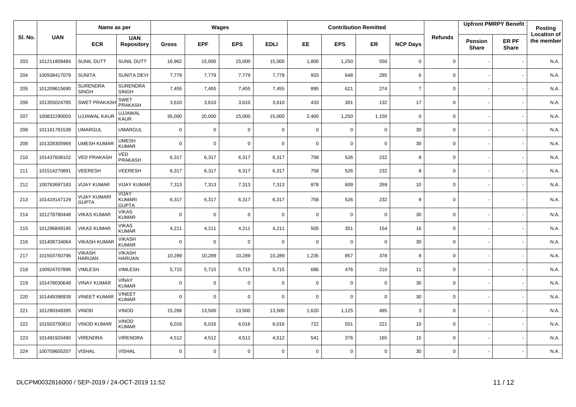|         |              | Name as per                     |                                 |              |             | Wages       |             |             |             | <b>Contribution Remitted</b> |                 |                |                         | <b>Upfront PMRPY Benefit</b> | Posting                          |
|---------|--------------|---------------------------------|---------------------------------|--------------|-------------|-------------|-------------|-------------|-------------|------------------------------|-----------------|----------------|-------------------------|------------------------------|----------------------------------|
| SI. No. | <b>UAN</b>   | <b>ECR</b>                      | <b>UAN</b><br><b>Repository</b> | <b>Gross</b> | <b>EPF</b>  | <b>EPS</b>  | <b>EDLI</b> | EE.         | <b>EPS</b>  | <b>ER</b>                    | <b>NCP Days</b> | <b>Refunds</b> | Pension<br><b>Share</b> | ER PF<br><b>Share</b>        | <b>Location of</b><br>the member |
| 203     | 101211809484 | SUNIL DUTT                      | SUNIL DUTT                      | 16,962       | 15,000      | 15,000      | 15,000      | 1,800       | 1,250       | 550                          | $\mathbf 0$     | 0              |                         |                              | N.A.                             |
| 204     | 100938417079 | <b>SUNITA</b>                   | SUNITA DEVI                     | 7,779        | 7,779       | 7,779       | 7,779       | 933         | 648         | 285                          | 6               | 0              |                         |                              | N.A.                             |
| 205     | 101209615690 | <b>SURENDRA</b><br><b>SINGH</b> | <b>SURENDRA</b><br><b>SINGH</b> | 7,455        | 7,455       | 7,455       | 7,455       | 895         | 621         | 274                          | $\overline{7}$  | 0              |                         |                              | N.A.                             |
| 206     | 101355024785 | <b>SWET PRAKASK</b>             | <b>SWET</b><br>PRAKASH          | 3,610        | 3,610       | 3,610       | 3,610       | 433         | 301         | 132                          | 17              | 0              |                         |                              | N.A.                             |
| 207     | 100832290003 | <b>UJJAWAL KAUR</b>             | <b>UJJAWAL</b><br>KAUR          | 35,000       | 20,000      | 15,000      | 15,000      | 2,400       | 1,250       | 1,150                        | $\mathbf 0$     | 0              |                         |                              | N.A.                             |
| 208     | 101161781539 | <b>UMARGUL</b>                  | <b>UMARGUL</b>                  | $\mathbf 0$  | $\mathbf 0$ | $\mathbf 0$ | $\mathbf 0$ | $\mathbf 0$ | $\mathbf 0$ | $\mathbf 0$                  | 30              | 0              |                         |                              | N.A.                             |
| 209     | 101328305969 | <b>UMESH KUMAF</b>              | <b>UMESH</b><br>KUMAR           | $\mathbf 0$  | $\mathbf 0$ | $\mathbf 0$ | $\mathbf 0$ | $\mathbf 0$ | $\mathbf 0$ | $\mathbf 0$                  | 30              | 0              |                         |                              | N.A.                             |
| 210     | 101437608102 | <b>VED PRAKASH</b>              | VED<br>PRAKASH                  | 6,317        | 6,317       | 6,317       | 6,317       | 758         | 526         | 232                          | 8               | 0              |                         |                              | N.A.                             |
| 211     | 101514270891 | <b>VEERESH</b>                  | VEERESH                         | 6,317        | 6,317       | 6,317       | 6,317       | 758         | 526         | 232                          | 8               | 0              |                         |                              | N.A.                             |
| 212     | 100763697183 | <b>VIJAY KUMAR</b>              | VIJAY KUMAR                     | 7,313        | 7,313       | 7,313       | 7,313       | 878         | 609         | 269                          | 10              | 0              |                         |                              | N.A.                             |
| 213     | 101419147129 | VIJAY KUMARI<br><b>GUPTA</b>    | VIJAY<br>KUMARI<br><b>GUPTA</b> | 6,317        | 6,317       | 6,317       | 6,317       | 758         | 526         | 232                          | 9               | 0              |                         |                              | N.A.                             |
| 214     | 101278780448 | <b>VIKAS KUMAR</b>              | <b>VIKAS</b><br><b>KUMAR</b>    | $\mathbf 0$  | $\mathbf 0$ | 0           | $\mathbf 0$ | $\mathbf 0$ | 0           | $\mathbf 0$                  | 30              | 0              |                         |                              | N.A.                             |
| 215     | 101296849195 | <b>VIKAS KUMAR</b>              | <b>VIKAS</b><br><b>KUMAR</b>    | 4,211        | 4,211       | 4,211       | 4,211       | 505         | 351         | 154                          | 16              | $\mathbf 0$    |                         |                              | N.A.                             |
| 216     | 101408734064 | <b>VIKASH KUMAR</b>             | <b>VIKASH</b><br><b>KUMAR</b>   | $\mathbf 0$  | $\mathbf 0$ | 0           | $\mathbf 0$ | $\mathbf 0$ | 0           | $\mathbf 0$                  | 30              | 0              |                         |                              | N.A.                             |
| 217     | 101503750796 | <b>VIKASH</b><br><b>HARIJAN</b> | <b>VIKASH</b><br><b>HARIJAN</b> | 10,289       | 10,289      | 10,289      | 10,289      | 1,235       | 857         | 378                          | 8               | 0              |                         |                              | N.A.                             |
| 218     | 100924707896 | VIMLESH                         | VIMLESH                         | 5,715        | 5,715       | 5,715       | 5,715       | 686         | 476         | 210                          | 11              | 0              |                         |                              | N.A.                             |
| 219     | 101478030648 | <b>VINAY KUMAR</b>              | <b>VINAY</b><br><b>KUMAR</b>    | $\mathbf 0$  | $\mathbf 0$ | 0           | $\mathbf 0$ | $\mathbf 0$ | 0           | $\mathbf 0$                  | 30              | 0              |                         |                              | N.A.                             |
| 220     | 101449396939 | <b>VINEET KUMAR</b>             | <b>VINEET</b><br>KUMAR          | $\mathbf 0$  | $\Omega$    | 0           | $\mathbf 0$ | $\Omega$    | 0           | $\mathbf 0$                  | 30              | 0              |                         |                              | N.A.                             |
| 221     | 101280348395 | <b>VINOD</b>                    | <b>VINOD</b>                    | 15,266       | 13,500      | 13,500      | 13,500      | 1,620       | 1,125       | 495                          | 3               | 0              |                         |                              | N.A.                             |
| 222     | 101503750810 | <b>VINOD KUMAR</b>              | VINOD<br><b>KUMAR</b>           | 6,016        | 6,016       | 6,016       | 6,016       | 722         | 501         | 221                          | 10              | 0              |                         |                              | N.A.                             |
| 223     | 101491920490 | <b>VIRENDRA</b>                 | VIRENDRA                        | 4,512        | 4,512       | 4,512       | 4,512       | 541         | 376         | 165                          | 15              | 0              |                         |                              | N.A.                             |
| 224     | 100759605207 | <b>VISHAL</b>                   | <b>VISHAL</b>                   | $\mathbf 0$  | $\mathbf 0$ | 0           | $\mathbf 0$ | $\mathbf 0$ | 0           | $\mathbf 0$                  | 30              | 0              |                         |                              | N.A.                             |